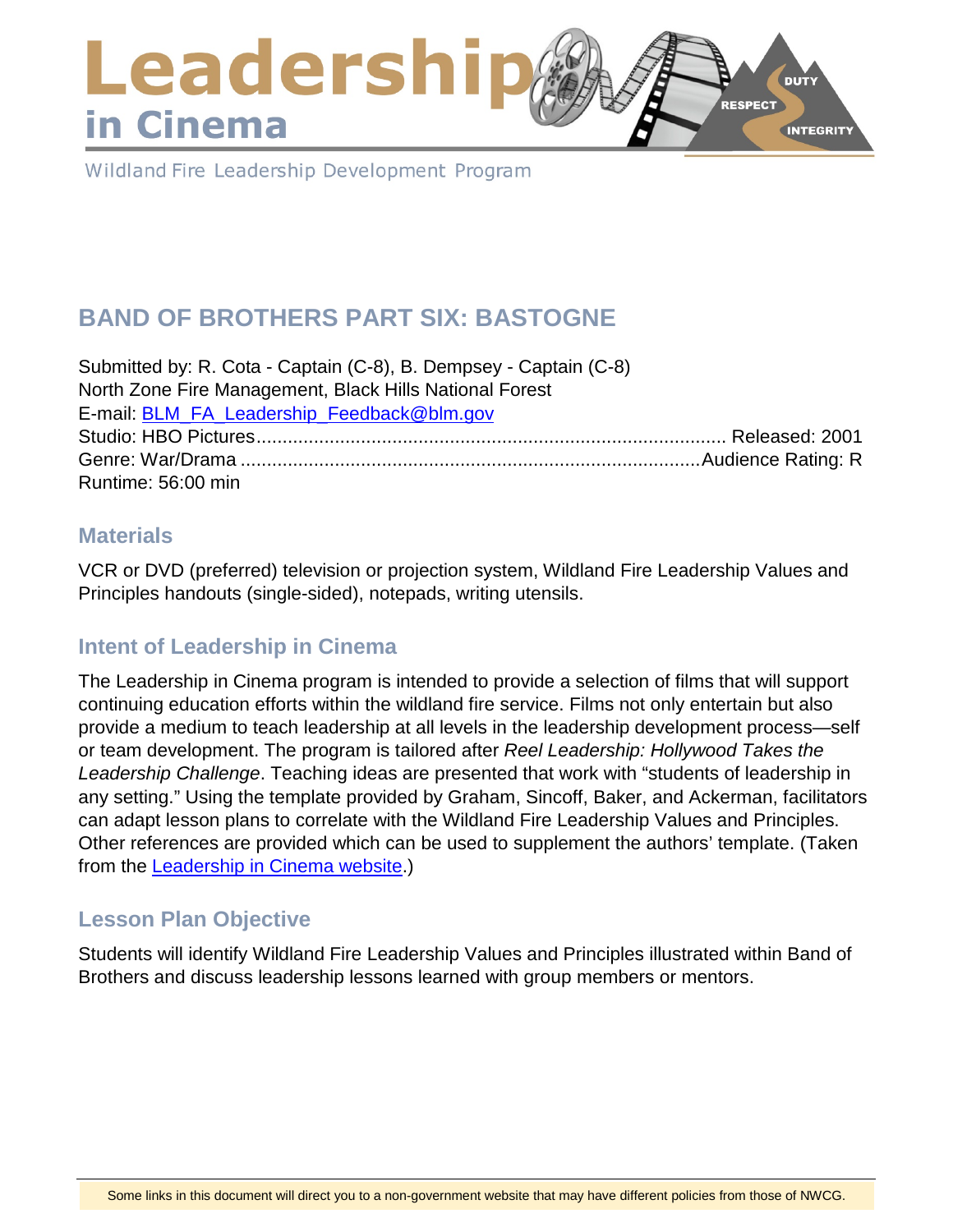## Leadershi **DUTY RESPECT** in Cinema **INTEGRITY**

Wildland Fire Leadership Development Program

# **BAND OF BROTHERS PART SIX: BASTOGNE**

Submitted by: R. Cota - Captain (C-8), B. Dempsey - Captain (C-8) North Zone Fire Management, Black Hills National Forest E-mail: [BLM\\_FA\\_Leadership\\_Feedback@blm.gov](mailto:BLM_FA_Leadership_Feedback@blm.gov) Studio: HBO Pictures.......................................................................................... Released: 2001 Genre: War/Drama ........................................................................................Audience Rating: R Runtime: 56:00 min

#### **Materials**

VCR or DVD (preferred) television or projection system, Wildland Fire Leadership Values and Principles handouts (single-sided), notepads, writing utensils.

## **Intent of Leadership in Cinema**

The Leadership in Cinema program is intended to provide a selection of films that will support continuing education efforts within the wildland fire service. Films not only entertain but also provide a medium to teach leadership at all levels in the leadership development process—self or team development. The program is tailored after *Reel Leadership: Hollywood Takes the Leadership Challenge*. Teaching ideas are presented that work with "students of leadership in any setting." Using the template provided by Graham, Sincoff, Baker, and Ackerman, facilitators can adapt lesson plans to correlate with the Wildland Fire Leadership Values and Principles. Other references are provided which can be used to supplement the authors' template. (Taken from the [Leadership in Cinema website.](https://www.fireleadership.gov/))

## **Lesson Plan Objective**

Students will identify Wildland Fire Leadership Values and Principles illustrated within Band of Brothers and discuss leadership lessons learned with group members or mentors.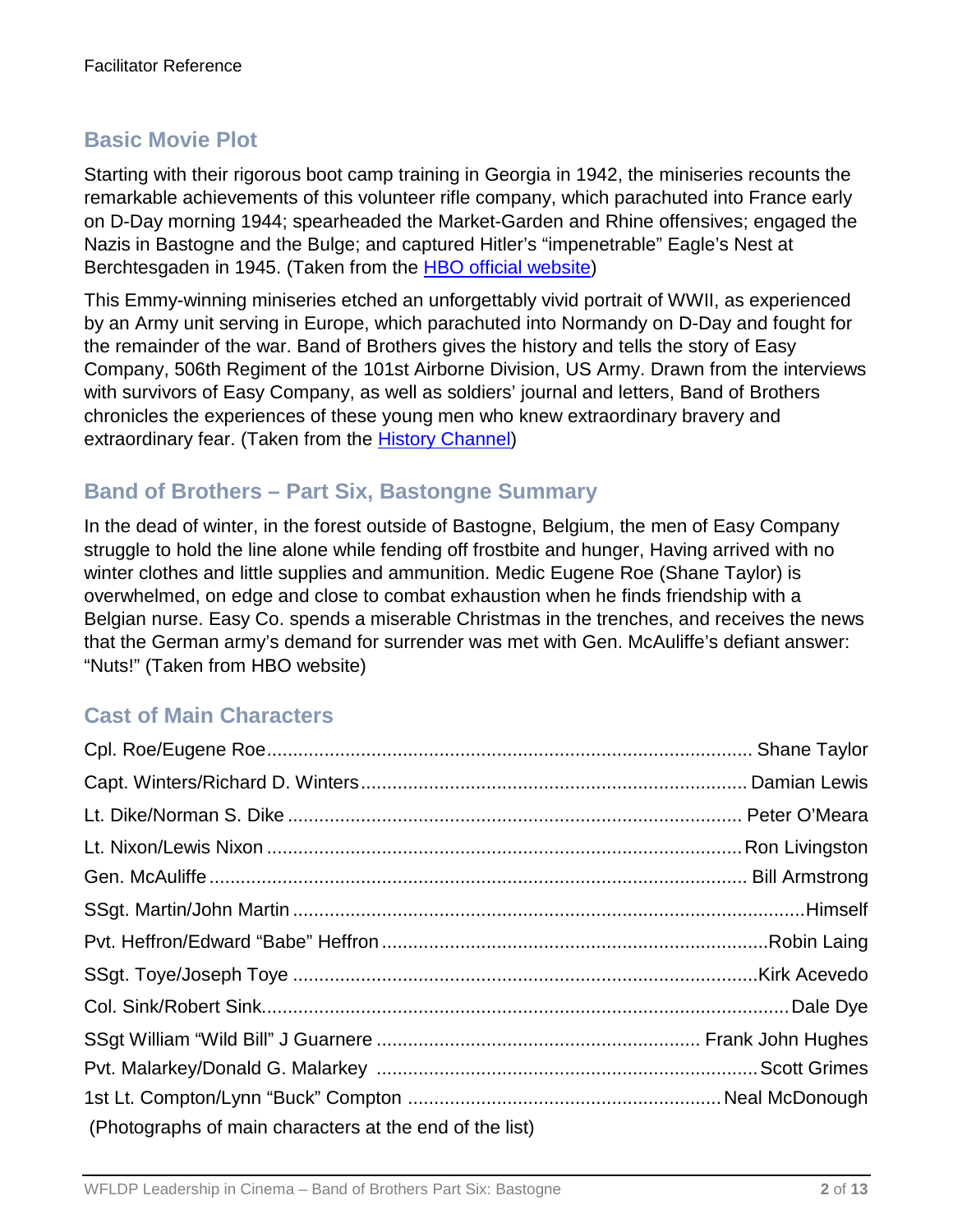## **Basic Movie Plot**

Starting with their rigorous boot camp training in Georgia in 1942, the miniseries recounts the remarkable achievements of this volunteer rifle company, which parachuted into France early on D-Day morning 1944; spearheaded the Market-Garden and Rhine offensives; engaged the Nazis in Bastogne and the Bulge; and captured Hitler's "impenetrable" Eagle's Nest at Berchtesgaden in 1945. (Taken from the [HBO official website\)](http://www.hbo.com/band/landing/currahee.html)

This Emmy-winning miniseries etched an unforgettably vivid portrait of WWII, as experienced by an Army unit serving in Europe, which parachuted into Normandy on D-Day and fought for the remainder of the war. Band of Brothers gives the history and tells the story of Easy Company, 506th Regiment of the 101st Airborne Division, US Army. Drawn from the interviews with survivors of Easy Company, as well as soldiers' journal and letters, Band of Brothers chronicles the experiences of these young men who knew extraordinary bravery and extraordinary fear. (Taken from the [History Channel\)](http://www.history.com/topics/d-day)

## **Band of Brothers – Part Six, Bastongne Summary**

In the dead of winter, in the forest outside of Bastogne, Belgium, the men of Easy Company struggle to hold the line alone while fending off frostbite and hunger, Having arrived with no winter clothes and little supplies and ammunition. Medic Eugene Roe (Shane Taylor) is overwhelmed, on edge and close to combat exhaustion when he finds friendship with a Belgian nurse. Easy Co. spends a miserable Christmas in the trenches, and receives the news that the German army's demand for surrender was met with Gen. McAuliffe's defiant answer: "Nuts!" (Taken from HBO website)

## **Cast of Main Characters**

| (Photographs of main characters at the end of the list) |  |
|---------------------------------------------------------|--|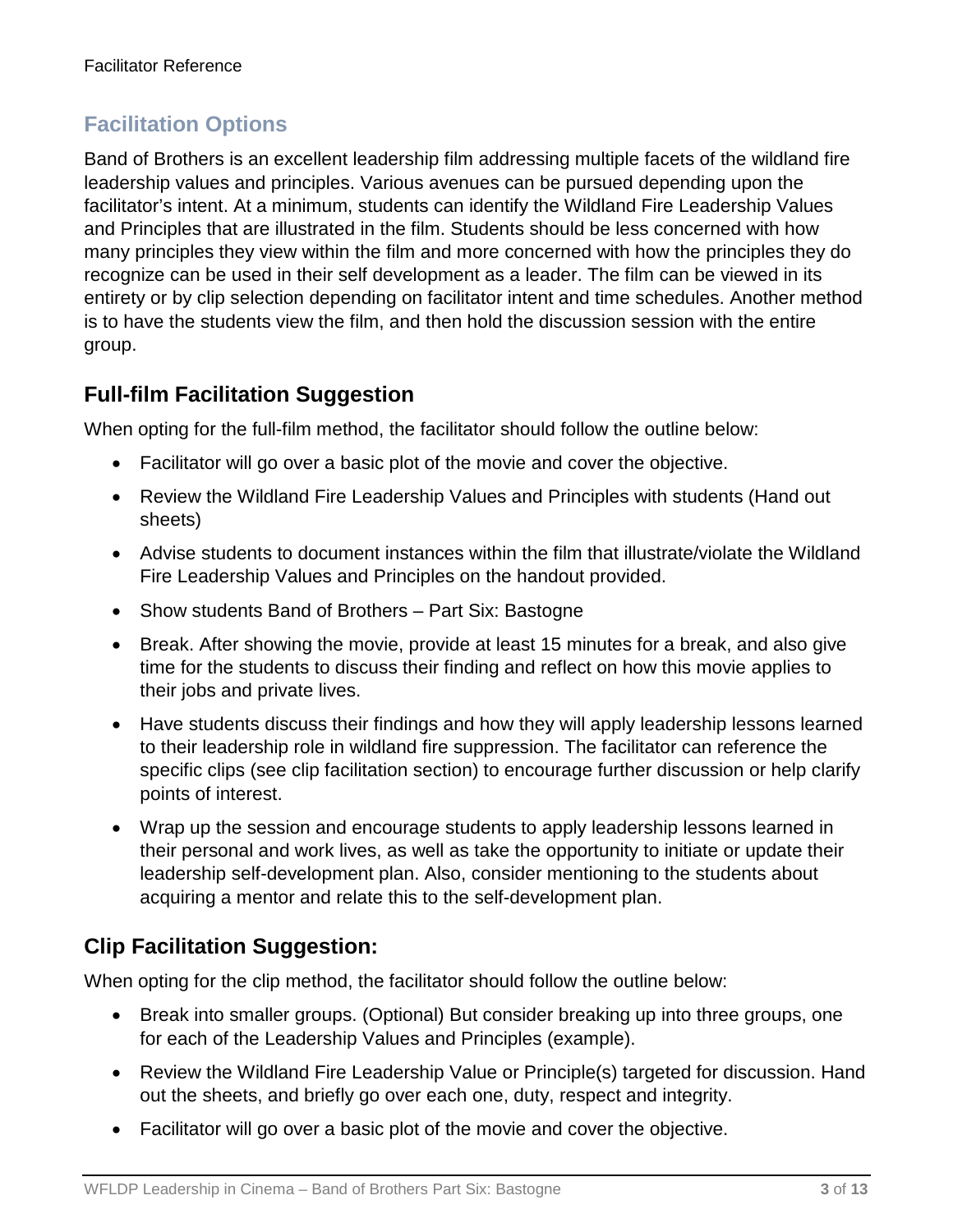## **Facilitation Options**

Band of Brothers is an excellent leadership film addressing multiple facets of the wildland fire leadership values and principles. Various avenues can be pursued depending upon the facilitator's intent. At a minimum, students can identify the Wildland Fire Leadership Values and Principles that are illustrated in the film. Students should be less concerned with how many principles they view within the film and more concerned with how the principles they do recognize can be used in their self development as a leader. The film can be viewed in its entirety or by clip selection depending on facilitator intent and time schedules. Another method is to have the students view the film, and then hold the discussion session with the entire group.

## **Full-film Facilitation Suggestion**

When opting for the full-film method, the facilitator should follow the outline below:

- Facilitator will go over a basic plot of the movie and cover the objective.
- Review the Wildland Fire Leadership Values and Principles with students (Hand out sheets)
- Advise students to document instances within the film that illustrate/violate the Wildland Fire Leadership Values and Principles on the handout provided.
- Show students Band of Brothers Part Six: Bastogne
- Break. After showing the movie, provide at least 15 minutes for a break, and also give time for the students to discuss their finding and reflect on how this movie applies to their jobs and private lives.
- Have students discuss their findings and how they will apply leadership lessons learned to their leadership role in wildland fire suppression. The facilitator can reference the specific clips (see clip facilitation section) to encourage further discussion or help clarify points of interest.
- Wrap up the session and encourage students to apply leadership lessons learned in their personal and work lives, as well as take the opportunity to initiate or update their leadership self-development plan. Also, consider mentioning to the students about acquiring a mentor and relate this to the self-development plan.

## **Clip Facilitation Suggestion:**

When opting for the clip method, the facilitator should follow the outline below:

- Break into smaller groups. (Optional) But consider breaking up into three groups, one for each of the Leadership Values and Principles (example).
- Review the Wildland Fire Leadership Value or Principle(s) targeted for discussion. Hand out the sheets, and briefly go over each one, duty, respect and integrity.
- Facilitator will go over a basic plot of the movie and cover the objective.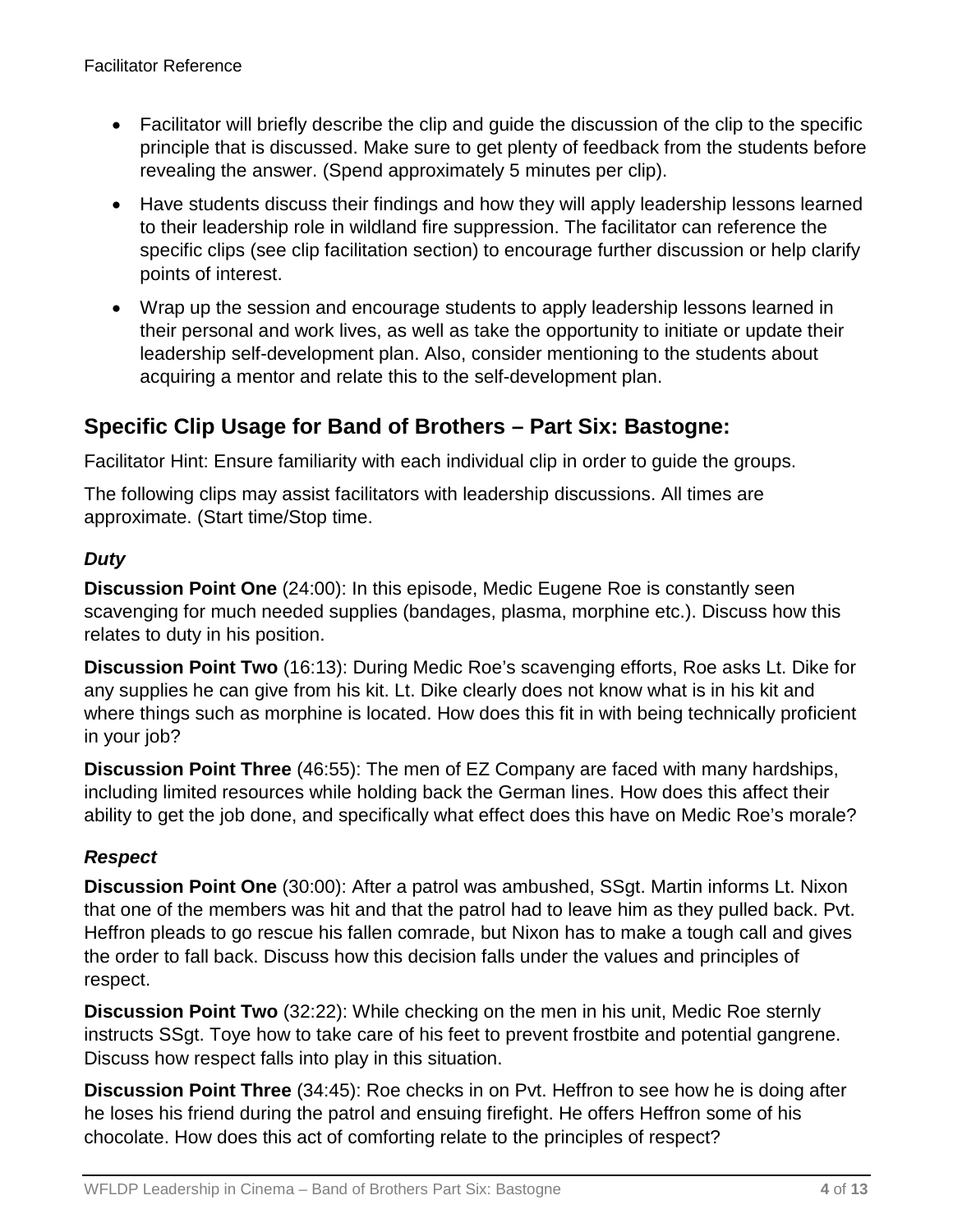- Facilitator will briefly describe the clip and quide the discussion of the clip to the specific principle that is discussed. Make sure to get plenty of feedback from the students before revealing the answer. (Spend approximately 5 minutes per clip).
- Have students discuss their findings and how they will apply leadership lessons learned to their leadership role in wildland fire suppression. The facilitator can reference the specific clips (see clip facilitation section) to encourage further discussion or help clarify points of interest.
- Wrap up the session and encourage students to apply leadership lessons learned in their personal and work lives, as well as take the opportunity to initiate or update their leadership self-development plan. Also, consider mentioning to the students about acquiring a mentor and relate this to the self-development plan.

## **Specific Clip Usage for Band of Brothers – Part Six: Bastogne:**

Facilitator Hint: Ensure familiarity with each individual clip in order to guide the groups.

The following clips may assist facilitators with leadership discussions. All times are approximate. (Start time/Stop time.

#### *Duty*

**Discussion Point One** (24:00): In this episode, Medic Eugene Roe is constantly seen scavenging for much needed supplies (bandages, plasma, morphine etc.). Discuss how this relates to duty in his position.

**Discussion Point Two** (16:13): During Medic Roe's scavenging efforts, Roe asks Lt. Dike for any supplies he can give from his kit. Lt. Dike clearly does not know what is in his kit and where things such as morphine is located. How does this fit in with being technically proficient in your job?

**Discussion Point Three** (46:55): The men of EZ Company are faced with many hardships, including limited resources while holding back the German lines. How does this affect their ability to get the job done, and specifically what effect does this have on Medic Roe's morale?

#### *Respect*

**Discussion Point One** (30:00): After a patrol was ambushed, SSgt. Martin informs Lt. Nixon that one of the members was hit and that the patrol had to leave him as they pulled back. Pvt. Heffron pleads to go rescue his fallen comrade, but Nixon has to make a tough call and gives the order to fall back. Discuss how this decision falls under the values and principles of respect.

**Discussion Point Two** (32:22): While checking on the men in his unit, Medic Roe sternly instructs SSgt. Toye how to take care of his feet to prevent frostbite and potential gangrene. Discuss how respect falls into play in this situation.

**Discussion Point Three** (34:45): Roe checks in on Pvt. Heffron to see how he is doing after he loses his friend during the patrol and ensuing firefight. He offers Heffron some of his chocolate. How does this act of comforting relate to the principles of respect?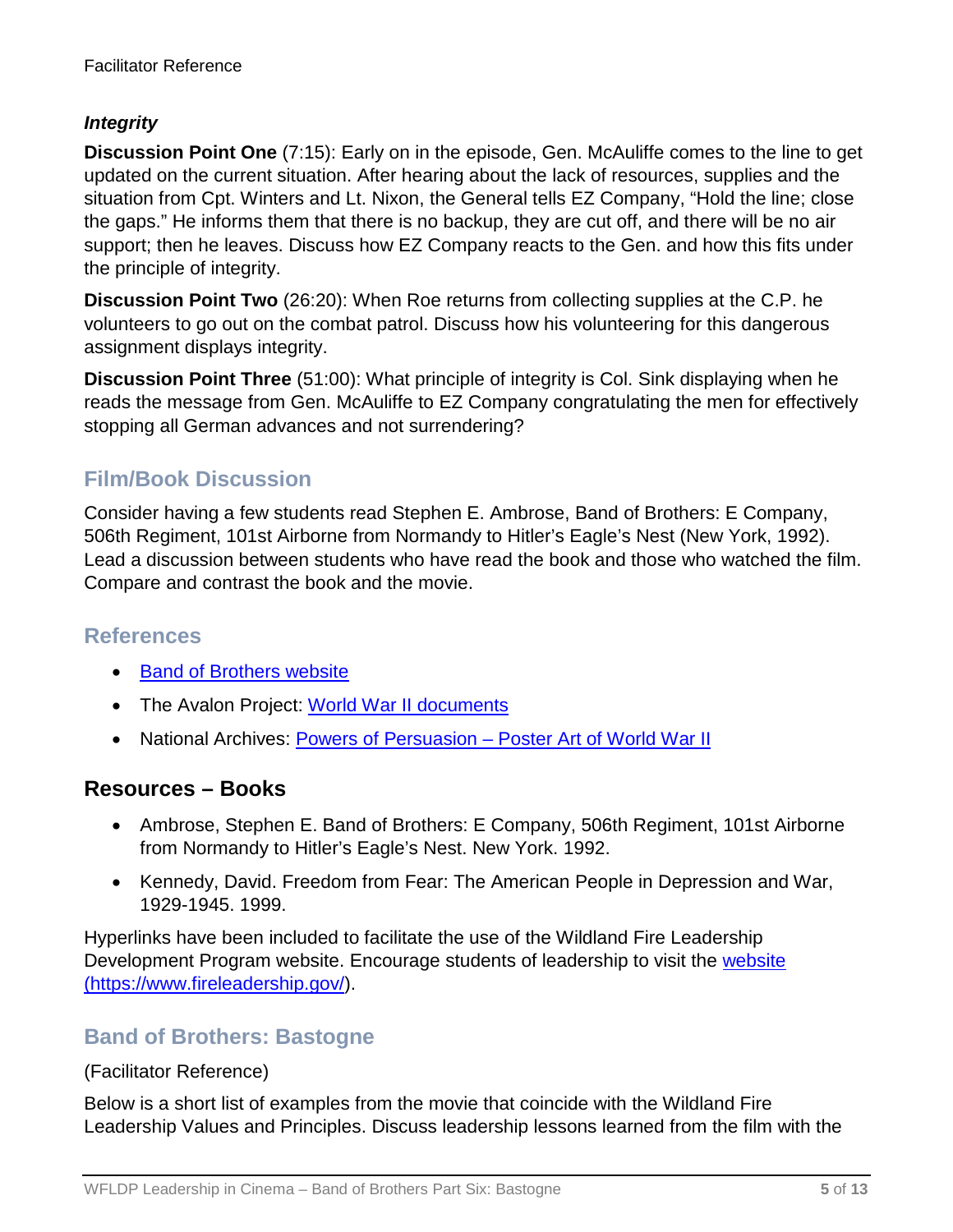#### *Integrity*

**Discussion Point One** (7:15): Early on in the episode, Gen. McAuliffe comes to the line to get updated on the current situation. After hearing about the lack of resources, supplies and the situation from Cpt. Winters and Lt. Nixon, the General tells EZ Company, "Hold the line; close the gaps." He informs them that there is no backup, they are cut off, and there will be no air support; then he leaves. Discuss how EZ Company reacts to the Gen. and how this fits under the principle of integrity.

**Discussion Point Two** (26:20): When Roe returns from collecting supplies at the C.P. he volunteers to go out on the combat patrol. Discuss how his volunteering for this dangerous assignment displays integrity.

**Discussion Point Three** (51:00): What principle of integrity is Col. Sink displaying when he reads the message from Gen. McAuliffe to EZ Company congratulating the men for effectively stopping all German advances and not surrendering?

## **Film/Book Discussion**

Consider having a few students read Stephen E. Ambrose, Band of Brothers: E Company, 506th Regiment, 101st Airborne from Normandy to Hitler's Eagle's Nest (New York, 1992). Lead a discussion between students who have read the book and those who watched the film. Compare and contrast the book and the movie.

### **References**

- [Band of Brothers website](http://www.hbo.com/band/landing/currahee.html)
- The Avalon Project: [World War II documents](http://avalon.law.yale.edu/subject_menus/wwii.asp)
- National Archives: Powers of Persuasion [Poster Art of World War II](https://www.archives.gov/education/lessons/wwii-posters)

### **Resources – Books**

- Ambrose, Stephen E. Band of Brothers: E Company, 506th Regiment, 101st Airborne from Normandy to Hitler's Eagle's Nest. New York. 1992.
- Kennedy, David. Freedom from Fear: The American People in Depression and War, 1929-1945. 1999.

Hyperlinks have been included to facilitate the use of the Wildland Fire Leadership Development Program website. Encourage students of leadership to visit the [website](https://www.fireleadership.gov/)  [\(https://www.fireleadership.gov/\)](https://www.fireleadership.gov/).

#### **Band of Brothers: Bastogne**

#### (Facilitator Reference)

Below is a short list of examples from the movie that coincide with the Wildland Fire Leadership Values and Principles. Discuss leadership lessons learned from the film with the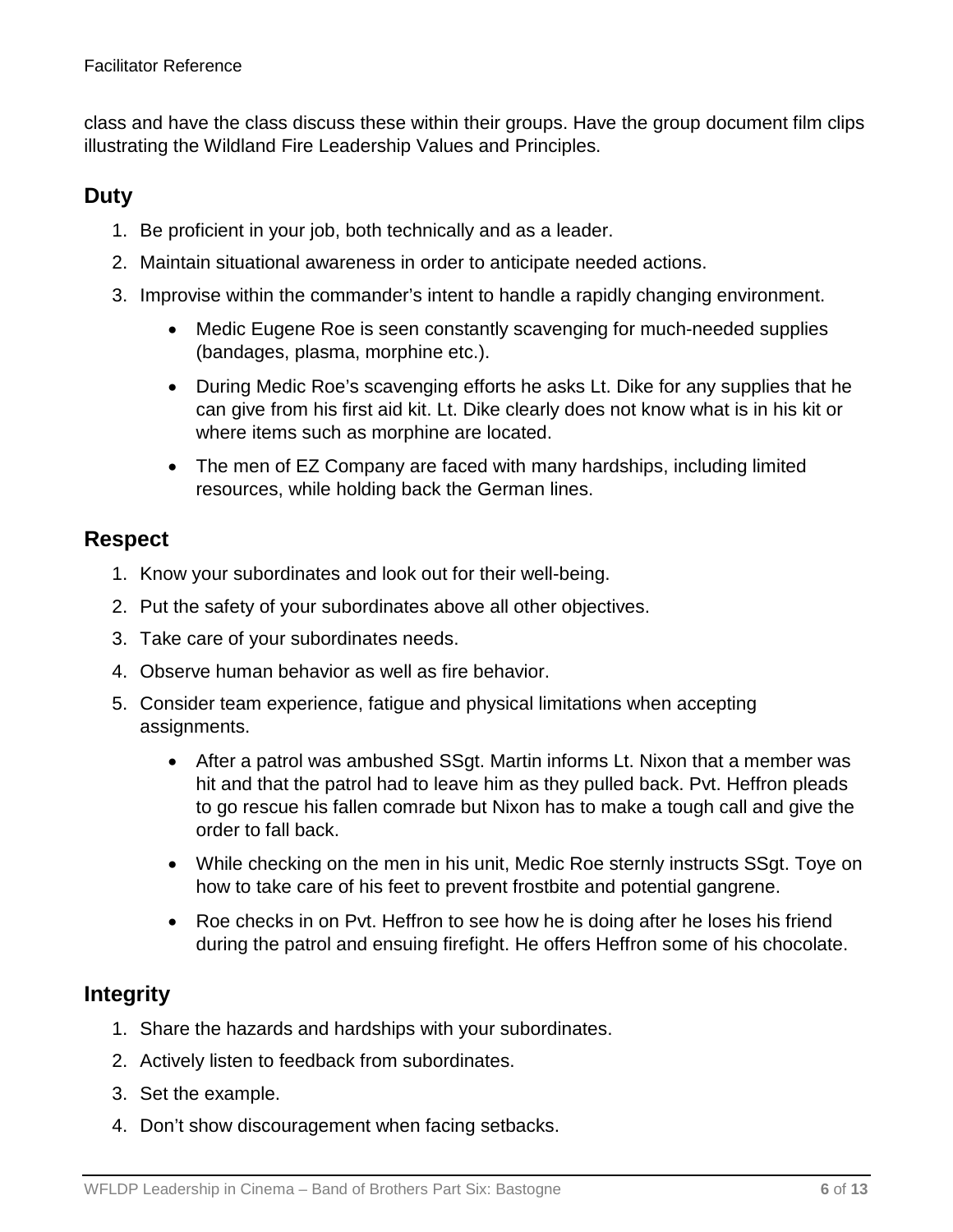class and have the class discuss these within their groups. Have the group document film clips illustrating the Wildland Fire Leadership Values and Principles.

## **Duty**

- 1. Be proficient in your job, both technically and as a leader.
- 2. Maintain situational awareness in order to anticipate needed actions.
- 3. Improvise within the commander's intent to handle a rapidly changing environment.
	- Medic Eugene Roe is seen constantly scavenging for much-needed supplies (bandages, plasma, morphine etc.).
	- During Medic Roe's scavenging efforts he asks Lt. Dike for any supplies that he can give from his first aid kit. Lt. Dike clearly does not know what is in his kit or where items such as morphine are located.
	- The men of EZ Company are faced with many hardships, including limited resources, while holding back the German lines.

## **Respect**

- 1. Know your subordinates and look out for their well-being.
- 2. Put the safety of your subordinates above all other objectives.
- 3. Take care of your subordinates needs.
- 4. Observe human behavior as well as fire behavior.
- 5. Consider team experience, fatigue and physical limitations when accepting assignments.
	- After a patrol was ambushed SSgt. Martin informs Lt. Nixon that a member was hit and that the patrol had to leave him as they pulled back. Pvt. Heffron pleads to go rescue his fallen comrade but Nixon has to make a tough call and give the order to fall back.
	- While checking on the men in his unit, Medic Roe sternly instructs SSgt. Toye on how to take care of his feet to prevent frostbite and potential gangrene.
	- Roe checks in on Pvt. Heffron to see how he is doing after he loses his friend during the patrol and ensuing firefight. He offers Heffron some of his chocolate.

### **Integrity**

- 1. Share the hazards and hardships with your subordinates.
- 2. Actively listen to feedback from subordinates.
- 3. Set the example.
- 4. Don't show discouragement when facing setbacks.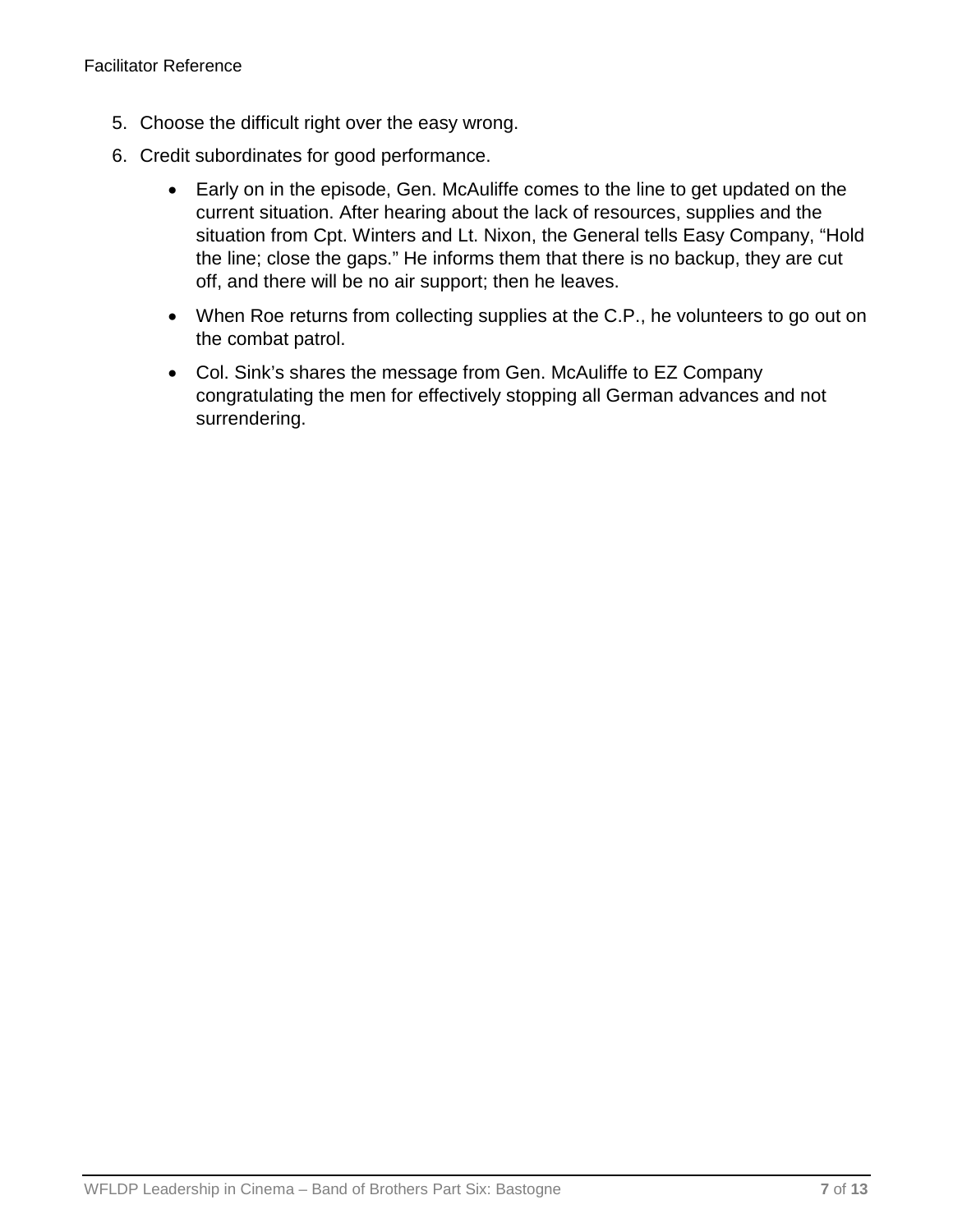- 5. Choose the difficult right over the easy wrong.
- 6. Credit subordinates for good performance.
	- Early on in the episode, Gen. McAuliffe comes to the line to get updated on the current situation. After hearing about the lack of resources, supplies and the situation from Cpt. Winters and Lt. Nixon, the General tells Easy Company, "Hold the line; close the gaps." He informs them that there is no backup, they are cut off, and there will be no air support; then he leaves.
	- When Roe returns from collecting supplies at the C.P., he volunteers to go out on the combat patrol.
	- Col. Sink's shares the message from Gen. McAuliffe to EZ Company congratulating the men for effectively stopping all German advances and not surrendering.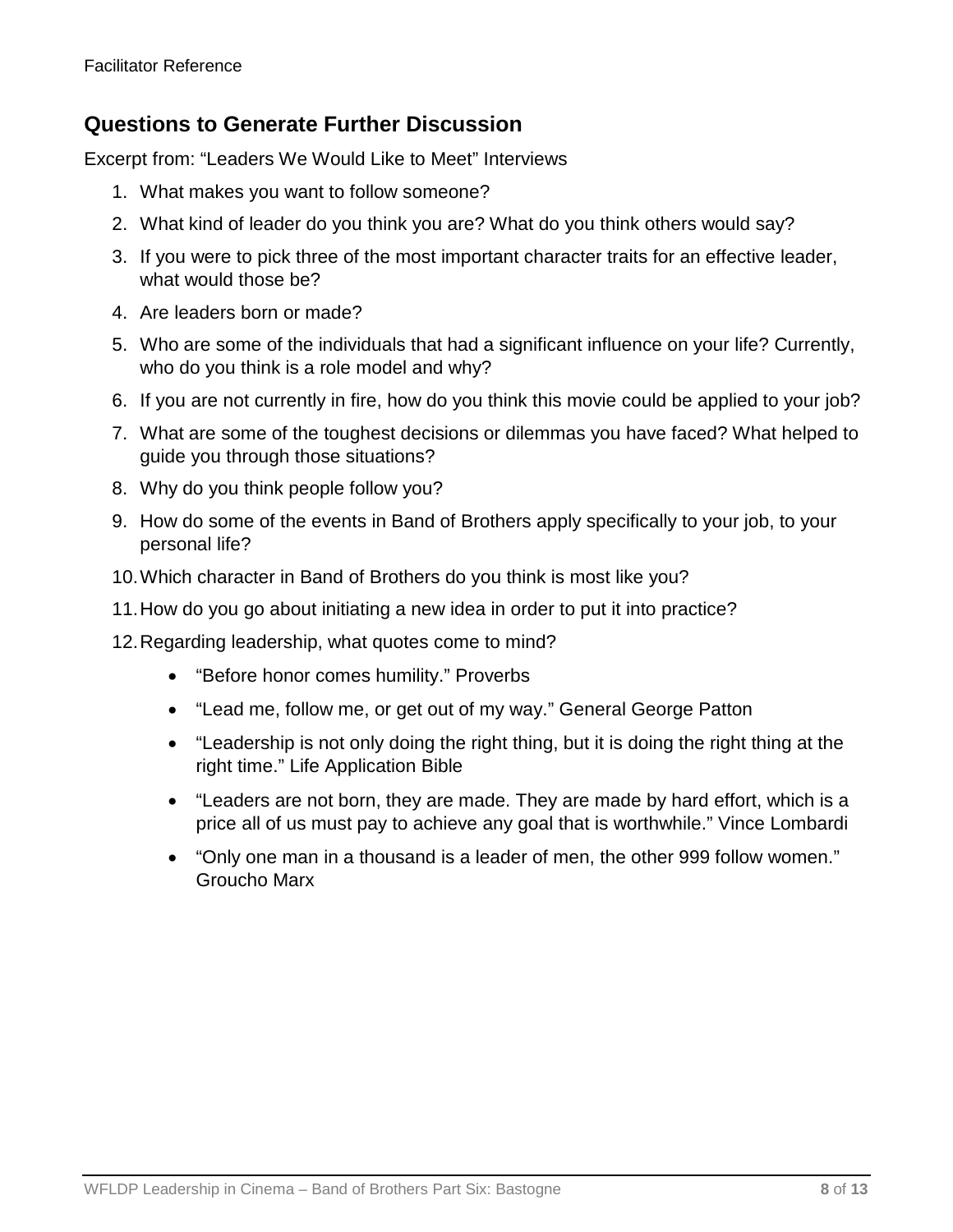## **Questions to Generate Further Discussion**

Excerpt from: "Leaders We Would Like to Meet" Interviews

- 1. What makes you want to follow someone?
- 2. What kind of leader do you think you are? What do you think others would say?
- 3. If you were to pick three of the most important character traits for an effective leader, what would those be?
- 4. Are leaders born or made?
- 5. Who are some of the individuals that had a significant influence on your life? Currently, who do you think is a role model and why?
- 6. If you are not currently in fire, how do you think this movie could be applied to your job?
- 7. What are some of the toughest decisions or dilemmas you have faced? What helped to guide you through those situations?
- 8. Why do you think people follow you?
- 9. How do some of the events in Band of Brothers apply specifically to your job, to your personal life?
- 10.Which character in Band of Brothers do you think is most like you?
- 11.How do you go about initiating a new idea in order to put it into practice?
- 12.Regarding leadership, what quotes come to mind?
	- "Before honor comes humility." Proverbs
	- "Lead me, follow me, or get out of my way." General George Patton
	- "Leadership is not only doing the right thing, but it is doing the right thing at the right time." Life Application Bible
	- "Leaders are not born, they are made. They are made by hard effort, which is a price all of us must pay to achieve any goal that is worthwhile." Vince Lombardi
	- "Only one man in a thousand is a leader of men, the other 999 follow women." Groucho Marx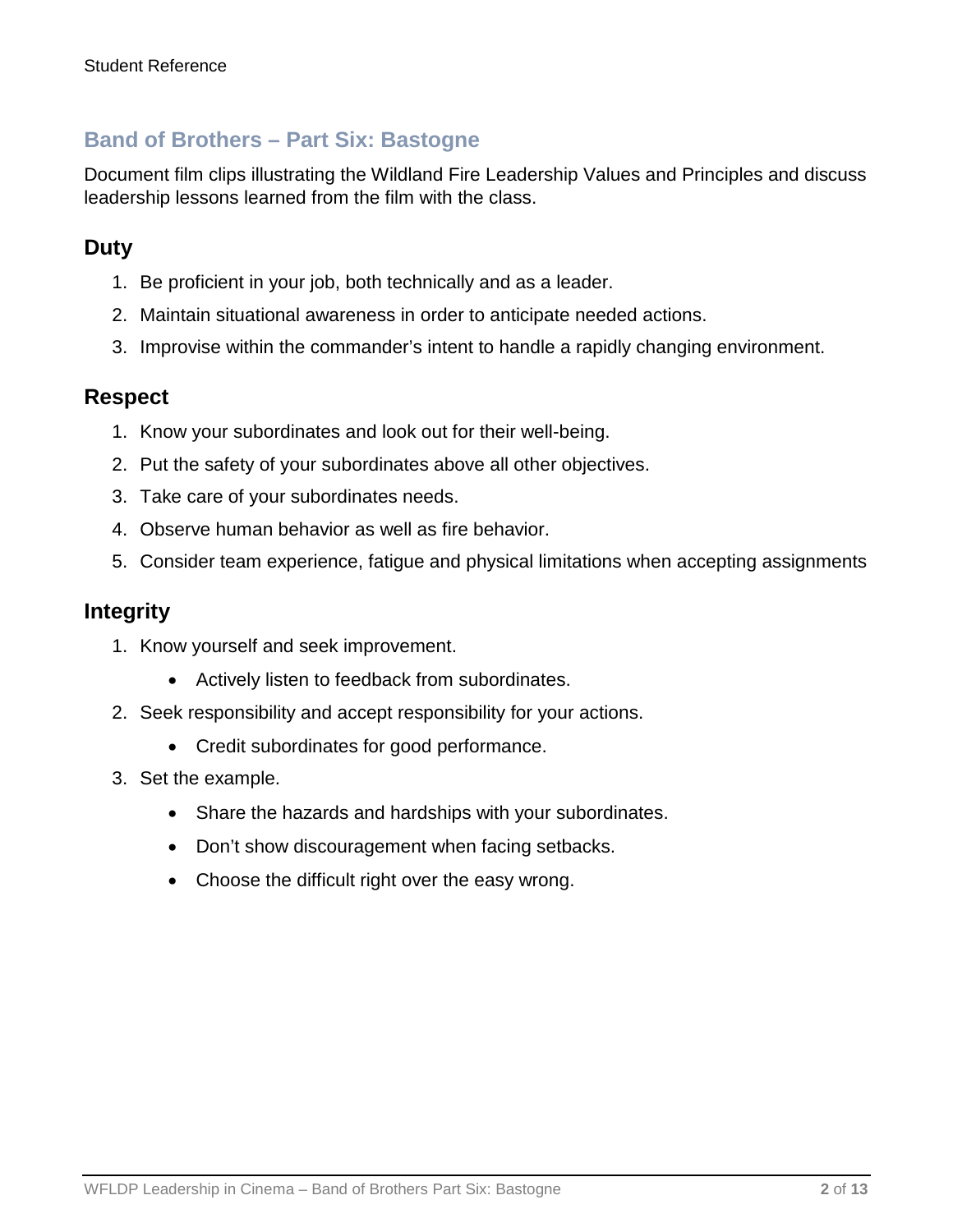### **Band of Brothers – Part Six: Bastogne**

Document film clips illustrating the Wildland Fire Leadership Values and Principles and discuss leadership lessons learned from the film with the class.

## **Duty**

- 1. Be proficient in your job, both technically and as a leader.
- 2. Maintain situational awareness in order to anticipate needed actions.
- 3. Improvise within the commander's intent to handle a rapidly changing environment.

#### **Respect**

- 1. Know your subordinates and look out for their well-being.
- 2. Put the safety of your subordinates above all other objectives.
- 3. Take care of your subordinates needs.
- 4. Observe human behavior as well as fire behavior.
- 5. Consider team experience, fatigue and physical limitations when accepting assignments

#### **Integrity**

- 1. Know yourself and seek improvement.
	- Actively listen to feedback from subordinates.
- 2. Seek responsibility and accept responsibility for your actions.
	- Credit subordinates for good performance.
- 3. Set the example.
	- Share the hazards and hardships with your subordinates.
	- Don't show discouragement when facing setbacks.
	- Choose the difficult right over the easy wrong.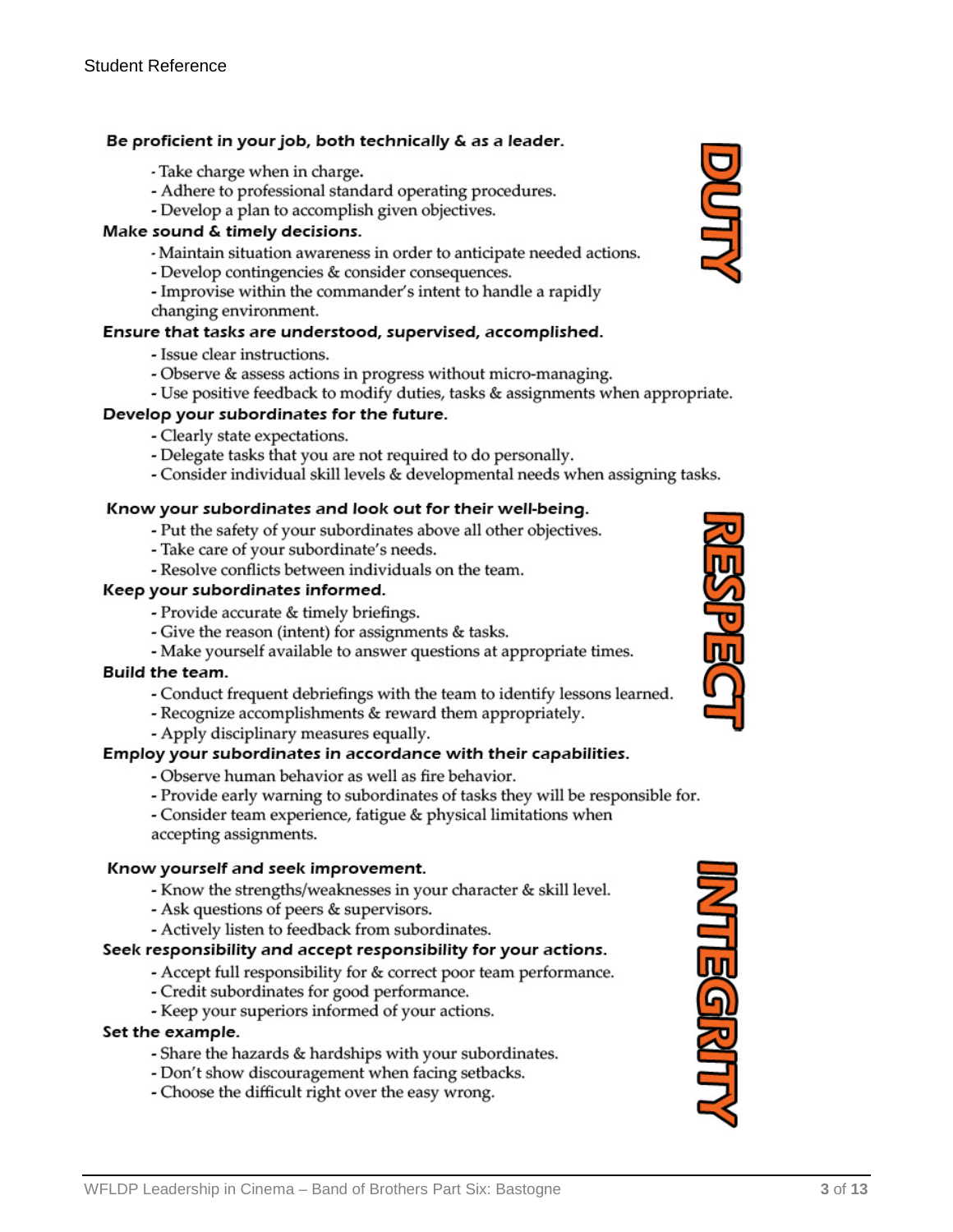#### Be proficient in your job, both technically & as a leader.

- Take charge when in charge.
- Adhere to professional standard operating procedures.
- Develop a plan to accomplish given objectives.

#### Make sound & timely decisions.

- Maintain situation awareness in order to anticipate needed actions.
- Develop contingencies & consider consequences.
- Improvise within the commander's intent to handle a rapidly
- changing environment.

#### Ensure that tasks are understood, supervised, accomplished.

- Issue clear instructions.
- Observe & assess actions in progress without micro-managing.
- Use positive feedback to modify duties, tasks & assignments when appropriate.

#### Develop your subordinates for the future.

- Clearly state expectations.
- Delegate tasks that you are not required to do personally.
- Consider individual skill levels & developmental needs when assigning tasks.

#### Know your subordinates and look out for their well-being.

- Put the safety of your subordinates above all other objectives.
- Take care of your subordinate's needs.
- Resolve conflicts between individuals on the team.

#### Keep your subordinates informed.

- Provide accurate & timely briefings.
- Give the reason (intent) for assignments & tasks.
- Make yourself available to answer questions at appropriate times.

#### Build the team.

- Conduct frequent debriefings with the team to identify lessons learned.
- Recognize accomplishments & reward them appropriately.
- Apply disciplinary measures equally.

#### Employ your subordinates in accordance with their capabilities.

- Observe human behavior as well as fire behavior.
- Provide early warning to subordinates of tasks they will be responsible for.

- Consider team experience, fatigue & physical limitations when accepting assignments.

#### Know yourself and seek improvement.

- Know the strengths/weaknesses in your character & skill level.
- Ask questions of peers & supervisors.
- Actively listen to feedback from subordinates.

#### Seek responsibility and accept responsibility for your actions.

- Accept full responsibility for & correct poor team performance.
- Credit subordinates for good performance.
- Keep your superiors informed of your actions.

#### Set the example.

- Share the hazards & hardships with your subordinates.
- Don't show discouragement when facing setbacks.
- Choose the difficult right over the easy wrong.





**MTEGRITT**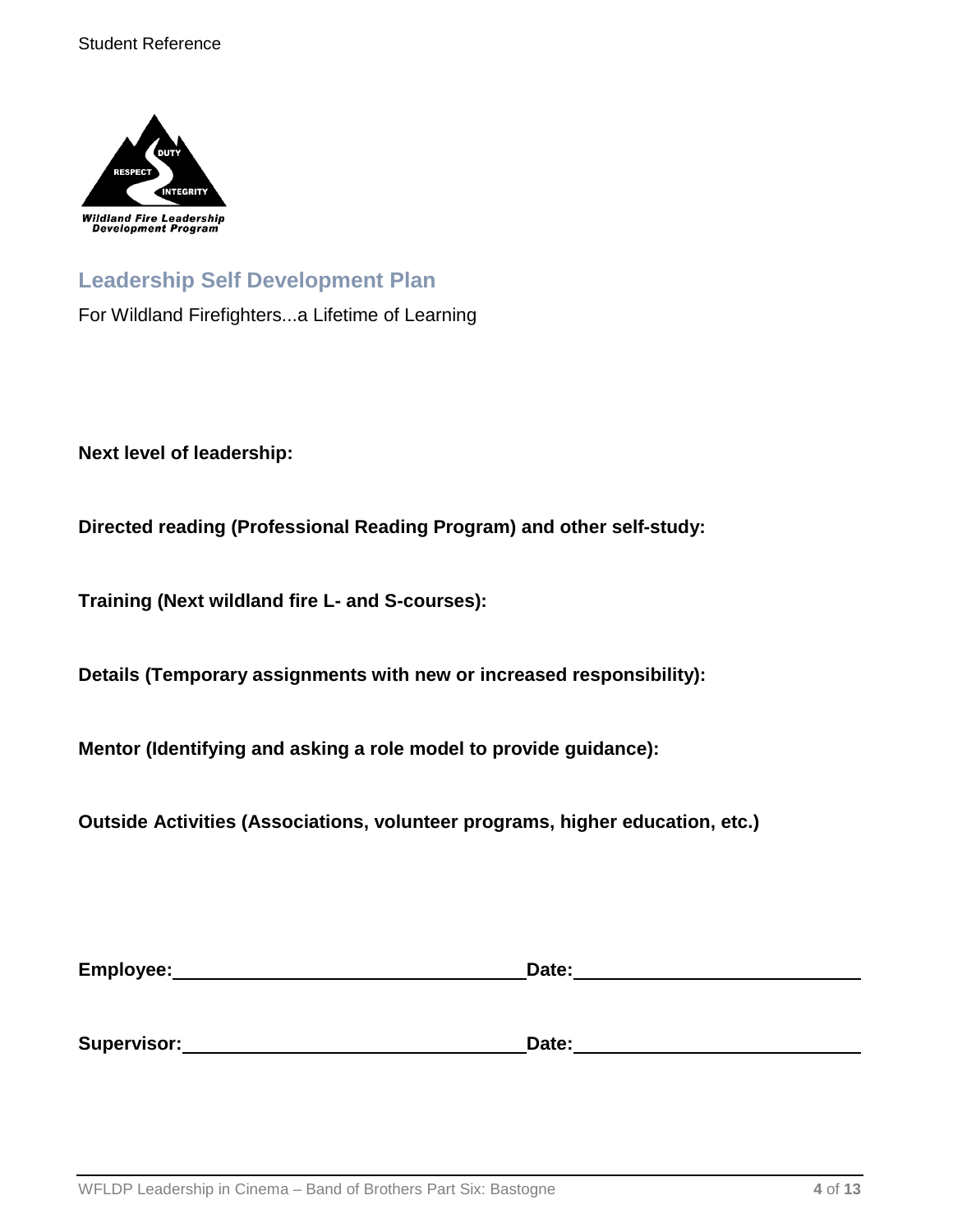

## **Leadership Self Development Plan**

For Wildland Firefighters...a Lifetime of Learning

**Next level of leadership:**

**Directed reading (Professional Reading Program) and other self-study:**

**Training (Next wildland fire L- and S-courses):**

**Details (Temporary assignments with new or increased responsibility):**

**Mentor (Identifying and asking a role model to provide guidance):**

**Outside Activities (Associations, volunteer programs, higher education, etc.)**

| Employee:   | Date: |  |
|-------------|-------|--|
|             |       |  |
|             |       |  |
| Supervisor: | Date: |  |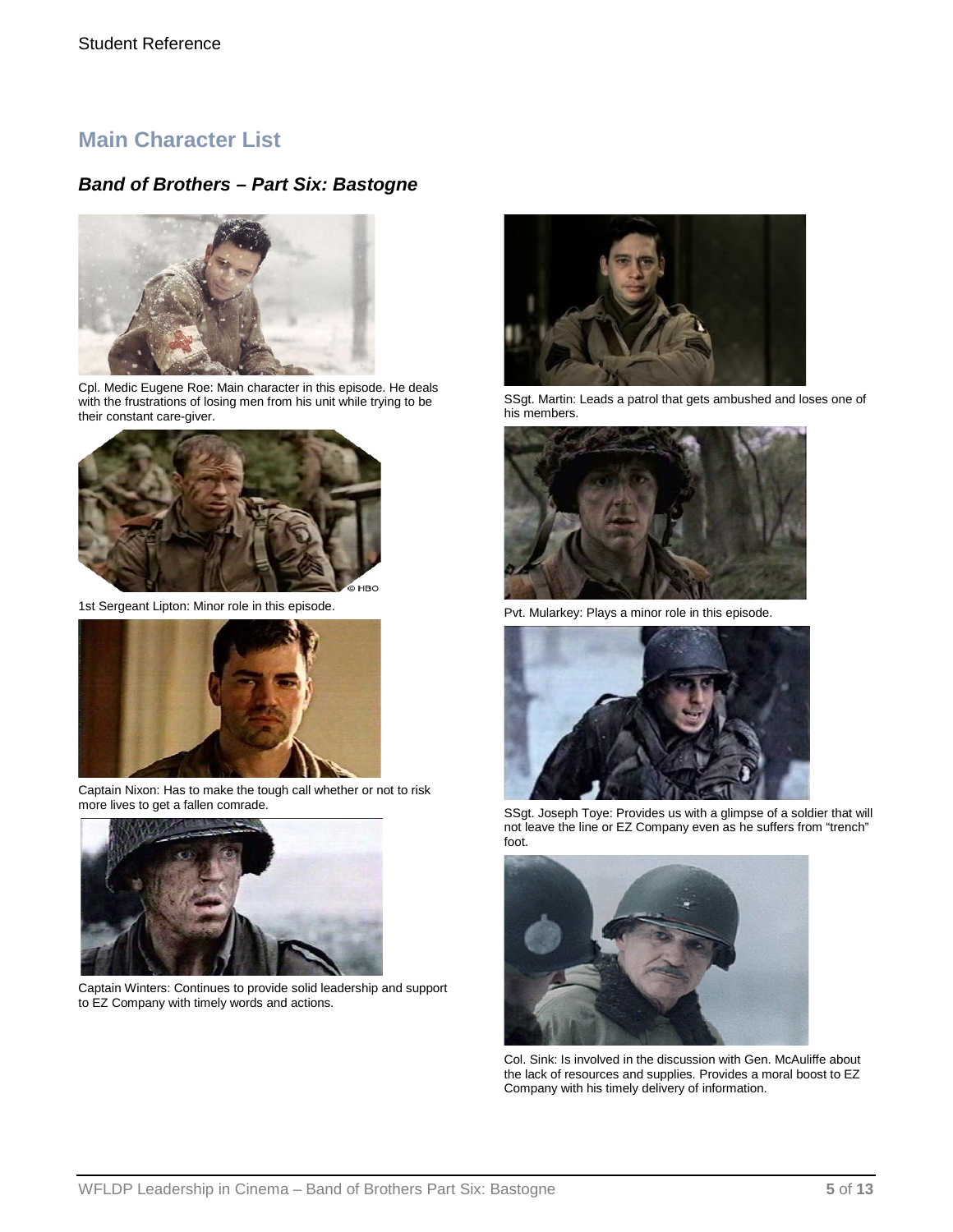### **Main Character List**

#### *Band of Brothers – Part Six: Bastogne*



Cpl. Medic Eugene Roe: Main character in this episode. He deals with the frustrations of losing men from his unit while trying to be their constant care-giver.



1st Sergeant Lipton: Minor role in this episode.



Captain Nixon: Has to make the tough call whether or not to risk more lives to get a fallen comrade.



Captain Winters: Continues to provide solid leadership and support to EZ Company with timely words and actions.



SSgt. Martin: Leads a patrol that gets ambushed and loses one of his members.



Pvt. Mularkey: Plays a minor role in this episode.



SSgt. Joseph Toye: Provides us with a glimpse of a soldier that will not leave the line or EZ Company even as he suffers from "trench" foot.



Col. Sink: Is involved in the discussion with Gen. McAuliffe about the lack of resources and supplies. Provides a moral boost to EZ Company with his timely delivery of information.